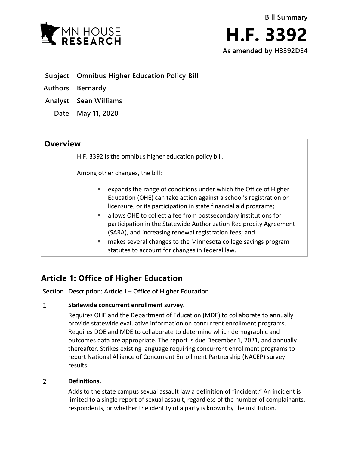



- **Subject Omnibus Higher Education Policy Bill**
- **Authors Bernardy**
- **Analyst Sean Williams**
	- **Date May 11, 2020**

## **Overview**

H.F. 3392 is the omnibus higher education policy bill.

Among other changes, the bill:

- expands the range of conditions under which the Office of Higher Education (OHE) can take action against a school's registration or licensure, or its participation in state financial aid programs;
- allows OHE to collect a fee from postsecondary institutions for participation in the Statewide Authorization Reciprocity Agreement (SARA), and increasing renewal registration fees; and
- **EXT** makes several changes to the Minnesota college savings program statutes to account for changes in federal law.

# **Article 1: Office of Higher Education**

**Section Description: Article 1 – Office of Higher Education**

### $\mathbf{1}$ **Statewide concurrent enrollment survey.**

Requires OHE and the Department of Education (MDE) to collaborate to annually provide statewide evaluative information on concurrent enrollment programs. Requires DOE and MDE to collaborate to determine which demographic and outcomes data are appropriate. The report is due December 1, 2021, and annually thereafter. Strikes existing language requiring concurrent enrollment programs to report National Alliance of Concurrent Enrollment Partnership (NACEP) survey results.

### $\overline{2}$ **Definitions.**

Adds to the state campus sexual assault law a definition of "incident." An incident is limited to a single report of sexual assault, regardless of the number of complainants, respondents, or whether the identity of a party is known by the institution.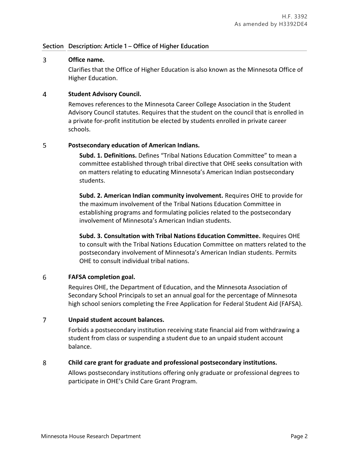### **Section Description: Article 1 – Office of Higher Education**

### 3 **Office name.**

Clarifies that the Office of Higher Education is also known as the Minnesota Office of Higher Education.

### $\overline{4}$ **Student Advisory Council.**

Removes references to the Minnesota Career College Association in the Student Advisory Council statutes. Requires that the student on the council that is enrolled in a private for-profit institution be elected by students enrolled in private career schools.

### 5 **Postsecondary education of American Indians.**

**Subd. 1. Definitions.** Defines "Tribal Nations Education Committee" to mean a committee established through tribal directive that OHE seeks consultation with on matters relating to educating Minnesota's American Indian postsecondary students.

**Subd. 2. American Indian community involvement.** Requires OHE to provide for the maximum involvement of the Tribal Nations Education Committee in establishing programs and formulating policies related to the postsecondary involvement of Minnesota's American Indian students.

**Subd. 3. Consultation with Tribal Nations Education Committee.** Requires OHE to consult with the Tribal Nations Education Committee on matters related to the postsecondary involvement of Minnesota's American Indian students. Permits OHE to consult individual tribal nations.

### 6 **FAFSA completion goal.**

Requires OHE, the Department of Education, and the Minnesota Association of Secondary School Principals to set an annual goal for the percentage of Minnesota high school seniors completing the Free Application for Federal Student Aid (FAFSA).

### $\overline{7}$ **Unpaid student account balances.**

Forbids a postsecondary institution receiving state financial aid from withdrawing a student from class or suspending a student due to an unpaid student account balance.

### 8 **Child care grant for graduate and professional postsecondary institutions.**

Allows postsecondary institutions offering only graduate or professional degrees to participate in OHE's Child Care Grant Program.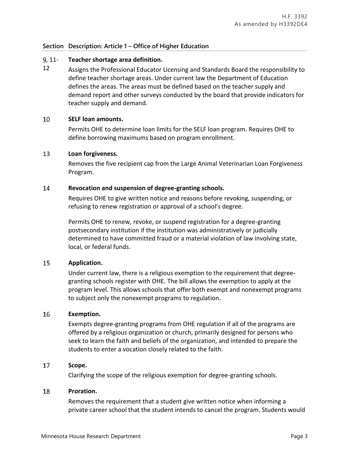### **Section Description: Article 1 – Office of Higher Education**

#### , 11- **Teacher shortage area definition.**

12 Assigns the Professional Educator Licensing and Standards Board the responsibility to define teacher shortage areas. Under current law the Department of Education defines the areas. The areas must be defined based on the teacher supply and demand report and other surveys conducted by the board that provide indicators for teacher supply and demand.

### 10 **SELF loan amounts.**

Permits OHE to determine loan limits for the SELF loan program. Requires OHE to define borrowing maximums based on program enrollment.

#### 13 **Loan forgiveness.**

Removes the five recipient cap from the Large Animal Veterinarian Loan Forgiveness Program.

### 14 **Revocation and suspension of degree-granting schools.**

Requires OHE to give written notice and reasons before revoking, suspending, or refusing to renew registration or approval of a school's degree.

Permits OHE to renew, revoke, or suspend registration for a degree-granting postsecondary institution if the institution was administratively or judicially determined to have committed fraud or a material violation of law involving state, local, or federal funds.

### 15 **Application.**

Under current law, there is a religious exemption to the requirement that degreegranting schools register with OHE. The bill allows the exemption to apply at the program level. This allows schools that offer both exempt and nonexempt programs to subject only the nonexempt programs to regulation.

### 16 **Exemption.**

Exempts degree-granting programs from OHE regulation if all of the programs are offered by a religious organization or church, primarily designed for persons who seek to learn the faith and beliefs of the organization, and intended to prepare the students to enter a vocation closely related to the faith.

#### 17 **Scope.**

Clarifying the scope of the religious exemption for degree-granting schools.

#### 18 **Proration.**

Removes the requirement that a student give written notice when informing a private career school that the student intends to cancel the program. Students would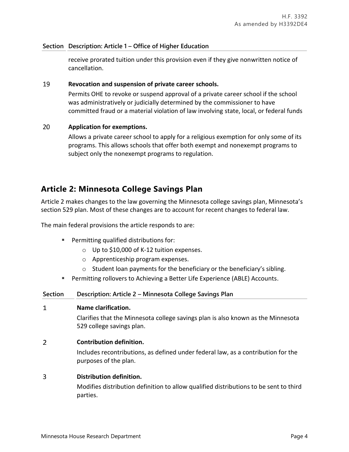### **Section Description: Article 1 – Office of Higher Education**

receive prorated tuition under this provision even if they give nonwritten notice of cancellation.

### 19 **Revocation and suspension of private career schools.**

Permits OHE to revoke or suspend approval of a private career school if the school was administratively or judicially determined by the commissioner to have committed fraud or a material violation of law involving state, local, or federal funds

### 20 **Application for exemptions.**

Allows a private career school to apply for a religious exemption for only some of its programs. This allows schools that offer both exempt and nonexempt programs to subject only the nonexempt programs to regulation.

## **Article 2: Minnesota College Savings Plan**

Article 2 makes changes to the law governing the Minnesota college savings plan, Minnesota's section 529 plan. Most of these changes are to account for recent changes to federal law.

The main federal provisions the article responds to are:

- **Permitting qualified distributions for:** 
	- o Up to \$10,000 of K-12 tuition expenses.
	- o Apprenticeship program expenses.
	- o Student loan payments for the beneficiary or the beneficiary's sibling.
- Permitting rollovers to Achieving a Better Life Experience (ABLE) Accounts.

| <b>Section</b> | Description: Article 2 – Minnesota College Savings Plan                                                       |
|----------------|---------------------------------------------------------------------------------------------------------------|
| 1              | Name clarification.                                                                                           |
|                | Clarifies that the Minnesota college savings plan is also known as the Minnesota<br>529 college savings plan. |
| $\overline{2}$ | <b>Contribution definition.</b>                                                                               |
|                | Includes recontributions, as defined under federal law, as a contribution for the<br>purposes of the plan.    |
| 3              | Distribution definition.                                                                                      |
|                | Modifies distribution definition to allow qualified distributions to be sent to third<br>parties.             |
|                |                                                                                                               |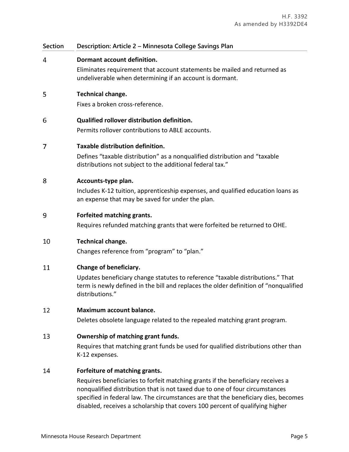| <b>Section</b> | Description: Article 2 - Minnesota College Savings Plan                                                                                                                                                                                                                                 |
|----------------|-----------------------------------------------------------------------------------------------------------------------------------------------------------------------------------------------------------------------------------------------------------------------------------------|
| 4              | Dormant account definition.<br>Eliminates requirement that account statements be mailed and returned as<br>undeliverable when determining if an account is dormant.                                                                                                                     |
| 5              | Technical change.<br>Fixes a broken cross-reference.                                                                                                                                                                                                                                    |
| 6              | Qualified rollover distribution definition.<br>Permits rollover contributions to ABLE accounts.                                                                                                                                                                                         |
| 7              | Taxable distribution definition.<br>Defines "taxable distribution" as a nonqualified distribution and "taxable<br>distributions not subject to the additional federal tax."                                                                                                             |
| 8              | Accounts-type plan.<br>Includes K-12 tuition, apprenticeship expenses, and qualified education loans as<br>an expense that may be saved for under the plan.                                                                                                                             |
| 9              | Forfeited matching grants.<br>Requires refunded matching grants that were forfeited be returned to OHE.                                                                                                                                                                                 |
| 10             | Technical change.<br>Changes reference from "program" to "plan."                                                                                                                                                                                                                        |
| 11             | Change of beneficiary.<br>Updates beneficiary change statutes to reference "taxable distributions." That<br>term is newly defined in the bill and replaces the older definition of "nonqualified<br>distributions."                                                                     |
| 12             | Maximum account balance.<br>Deletes obsolete language related to the repealed matching grant program.                                                                                                                                                                                   |
| 13             | Ownership of matching grant funds.<br>Requires that matching grant funds be used for qualified distributions other than<br>K-12 expenses.                                                                                                                                               |
| 14             | Forfeiture of matching grants.<br>Requires beneficiaries to forfeit matching grants if the beneficiary receives a<br>nonqualified distribution that is not taxed due to one of four circumstances<br>specified in federal law. The circumstances are that the beneficiary dies, becomes |

disabled, receives a scholarship that covers 100 percent of qualifying higher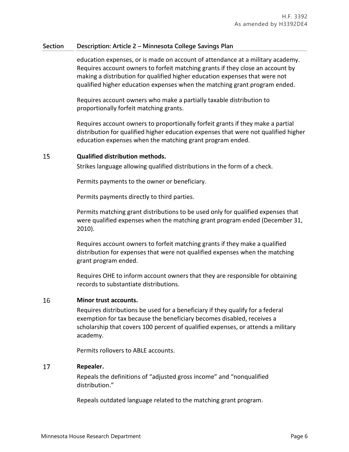### **Section Description: Article 2 – Minnesota College Savings Plan**

education expenses, or is made on account of attendance at a military academy. Requires account owners to forfeit matching grants if they close an account by making a distribution for qualified higher education expenses that were not qualified higher education expenses when the matching grant program ended.

Requires account owners who make a partially taxable distribution to proportionally forfeit matching grants.

Requires account owners to proportionally forfeit grants if they make a partial distribution for qualified higher education expenses that were not qualified higher education expenses when the matching grant program ended.

#### 15 **Qualified distribution methods.**

Strikes language allowing qualified distributions in the form of a check.

Permits payments to the owner or beneficiary.

Permits payments directly to third parties.

Permits matching grant distributions to be used only for qualified expenses that were qualified expenses when the matching grant program ended (December 31, 2010).

Requires account owners to forfeit matching grants if they make a qualified distribution for expenses that were not qualified expenses when the matching grant program ended.

Requires OHE to inform account owners that they are responsible for obtaining records to substantiate distributions.

#### 16 **Minor trust accounts.**

Requires distributions be used for a beneficiary if they qualify for a federal exemption for tax because the beneficiary becomes disabled, receives a scholarship that covers 100 percent of qualified expenses, or attends a military academy.

Permits rollovers to ABLE accounts.

### 17 **Repealer.**

Repeals the definitions of "adjusted gross income" and "nonqualified distribution."

Repeals outdated language related to the matching grant program.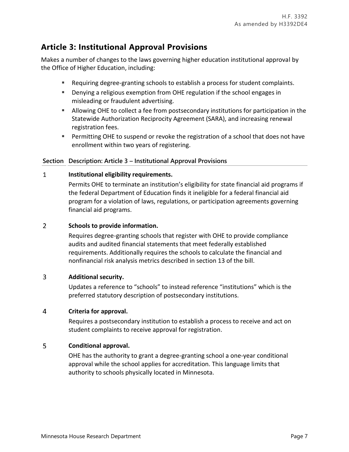# **Article 3: Institutional Approval Provisions**

Makes a number of changes to the laws governing higher education institutional approval by the Office of Higher Education, including:

- Requiring degree-granting schools to establish a process for student complaints.
- Denying a religious exemption from OHE regulation if the school engages in misleading or fraudulent advertising.
- Allowing OHE to collect a fee from postsecondary institutions for participation in the Statewide Authorization Reciprocity Agreement (SARA), and increasing renewal registration fees.
- **Permitting OHE to suspend or revoke the registration of a school that does not have** enrollment within two years of registering.

## **Section Description: Article 3 – Institutional Approval Provisions**

### $\mathbf{1}$ **Institutional eligibility requirements.**

Permits OHE to terminate an institution's eligibility for state financial aid programs if the federal Department of Education finds it ineligible for a federal financial aid program for a violation of laws, regulations, or participation agreements governing financial aid programs.

### $\overline{2}$ **Schools to provide information.**

Requires degree-granting schools that register with OHE to provide compliance audits and audited financial statements that meet federally established requirements. Additionally requires the schools to calculate the financial and nonfinancial risk analysis metrics described in section 13 of the bill.

### $\overline{3}$ **Additional security.**

Updates a reference to "schools" to instead reference "institutions" which is the preferred statutory description of postsecondary institutions.

### $\overline{4}$ **Criteria for approval.**

Requires a postsecondary institution to establish a process to receive and act on student complaints to receive approval for registration.

### 5 **Conditional approval.**

OHE has the authority to grant a degree-granting school a one-year conditional approval while the school applies for accreditation. This language limits that authority to schools physically located in Minnesota.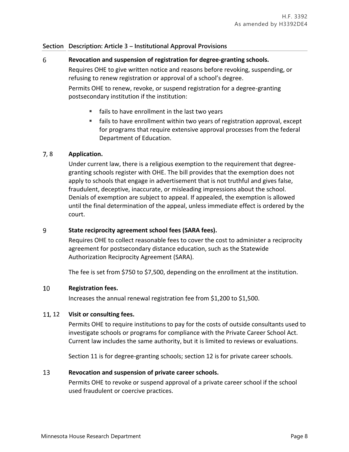### **Section Description: Article 3 – Institutional Approval Provisions**

### 6 **Revocation and suspension of registration for degree-granting schools.**

Requires OHE to give written notice and reasons before revoking, suspending, or refusing to renew registration or approval of a school's degree.

Permits OHE to renew, revoke, or suspend registration for a degree-granting postsecondary institution if the institution:

- **fails to have enrollment in the last two years**
- fails to have enrollment within two years of registration approval, except for programs that require extensive approval processes from the federal Department of Education.

### , 8 **Application.**

Under current law, there is a religious exemption to the requirement that degreegranting schools register with OHE. The bill provides that the exemption does not apply to schools that engage in advertisement that is not truthful and gives false, fraudulent, deceptive, inaccurate, or misleading impressions about the school. Denials of exemption are subject to appeal. If appealed, the exemption is allowed until the final determination of the appeal, unless immediate effect is ordered by the court.

### 9 **State reciprocity agreement school fees (SARA fees).**

Requires OHE to collect reasonable fees to cover the cost to administer a reciprocity agreement for postsecondary distance education, such as the Statewide Authorization Reciprocity Agreement (SARA).

The fee is set from \$750 to \$7,500, depending on the enrollment at the institution.

### 10 **Registration fees.**

Increases the annual renewal registration fee from \$1,200 to \$1,500.

### , 12 **Visit or consulting fees.**

Permits OHE to require institutions to pay for the costs of outside consultants used to investigate schools or programs for compliance with the Private Career School Act. Current law includes the same authority, but it is limited to reviews or evaluations.

Section 11 is for degree-granting schools; section 12 is for private career schools.

### 13 **Revocation and suspension of private career schools.**

Permits OHE to revoke or suspend approval of a private career school if the school used fraudulent or coercive practices.